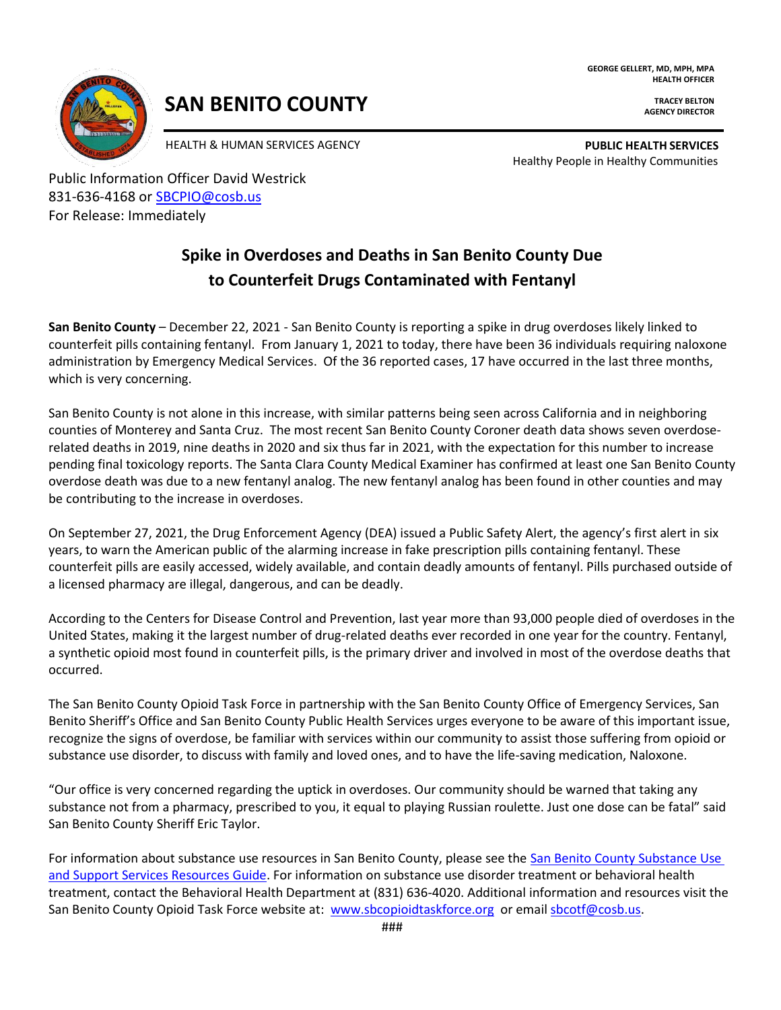**GEORGE GELLERT, MD, MPH, MPA HEALTH OFFICER**



# **SAN BENITO COUNTY**

**TRACEY BELTON AGENCY DIRECTOR**

HEALTH & HUMAN SERVICES AGENCY **PUBLIC HEALTH SERVICES** Healthy People in Healthy Communities

Public Information Officer David Westrick 831-636-4168 or **SBCPIO@cosb.us** For Release: Immediately

# **Spike in Overdoses and Deaths in San Benito County Due to Counterfeit Drugs Contaminated with Fentanyl**

**San Benito County** – December 22, 2021 - San Benito County is reporting a spike in drug overdoses likely linked to counterfeit pills containing fentanyl. From January 1, 2021 to today, there have been 36 individuals requiring naloxone administration by Emergency Medical Services. Of the 36 reported cases, 17 have occurred in the last three months, which is very concerning.

San Benito County is not alone in this increase, with similar patterns being seen across California and in neighboring counties of Monterey and Santa Cruz. The most recent San Benito County Coroner death data shows seven overdoserelated deaths in 2019, nine deaths in 2020 and six thus far in 2021, with the expectation for this number to increase pending final toxicology reports. The Santa Clara County Medical Examiner has confirmed at least one San Benito County overdose death was due to a new fentanyl analog. The new fentanyl analog has been found in other counties and may be contributing to the increase in overdoses.

On September 27, 2021, the Drug Enforcement Agency (DEA) issued a Public Safety Alert, the agency's first alert in six years, to warn the American public of the alarming increase in fake prescription pills containing fentanyl. These counterfeit pills are easily accessed, widely available, and contain deadly amounts of fentanyl. Pills purchased outside of a licensed pharmacy are illegal, dangerous, and can be deadly.

According to the Centers for Disease Control and Prevention, last year more than 93,000 people died of overdoses in the United States, making it the largest number of drug-related deaths ever recorded in one year for the country. Fentanyl, a synthetic opioid most found in counterfeit pills, is the primary driver and involved in most of the overdose deaths that occurred.

The San Benito County Opioid Task Force in partnership with the San Benito County Office of Emergency Services, San Benito Sheriff's Office and San Benito County Public Health Services urges everyone to be aware of this important issue, recognize the signs of overdose, be familiar with services within our community to assist those suffering from opioid or substance use disorder, to discuss with family and loved ones, and to have the life-saving medication, Naloxone.

"Our office is very concerned regarding the uptick in overdoses. Our community should be warned that taking any substance not from a pharmacy, prescribed to you, it equal to playing Russian roulette. Just one dose can be fatal" said San Benito County Sheriff Eric Taylor.

For information about substance use resources in San Benito County, please see the [San Benito County Substance Use](https://34df34e4-80fe-453e-9379-aed57d08e633.filesusr.com/ugd/fe1b45_8a994641616347e0a6ddafc52214eb97.pdf)  [and Support Services Resources Guide.](https://34df34e4-80fe-453e-9379-aed57d08e633.filesusr.com/ugd/fe1b45_8a994641616347e0a6ddafc52214eb97.pdf) For information on substance use disorder treatment or behavioral health treatment, contact the Behavioral Health Department at (831) 636-4020. Additional information and resources visit the San Benito County Opioid Task Force website at: [www.sbcopioidtaskforce.org](http://www.sbcopioidtaskforce.org/) or emai[l sbcotf@cosb.us.](mailto:sbcotf@cosb.us)